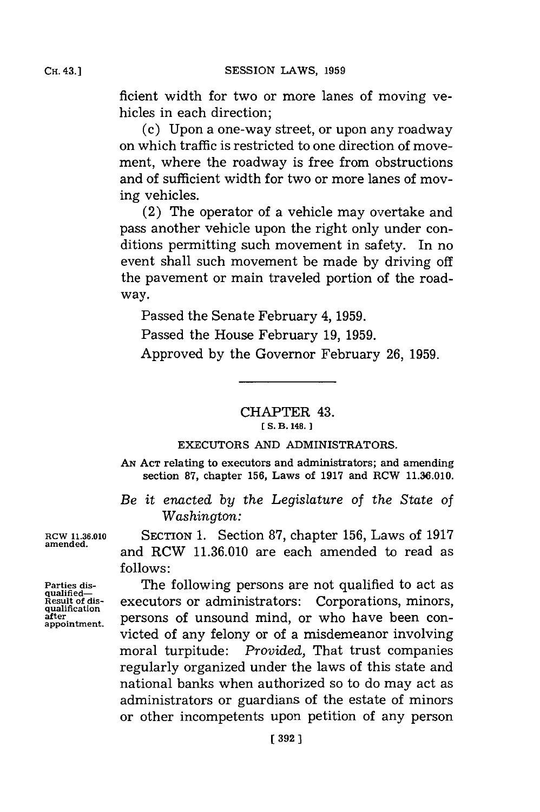ficient width for two or more lanes of moving vehicles in each direction;

(c) Upon a one-way street, or upon any roadway on which traffic is restricted to one direction of movement, where the roadway is free from obstructions and of sufficient width for two or more lanes of moving vehicles.

(2) The operator of a vehicle may overtake and pass another vehicle upon the right only under conditions permitting such movement in safety. In no event shall such movement be made **by** driving off the pavement or main traveled portion of the roadway.

Passed the Senate February 4, **1959.**

Passed the House February **19, 1959.**

Approved **by** the Governor February **26, 1959.**

## CHAPTER 43. **[ S. B. 148.]1**

## **EXECUTORS AND** ADMINISTRATORS.

**AN ACT** relating to executors and administrators; and amending section **87,** chapter **156,** Laws of **1917** and RCW **11.36.010.**

*Be it enacted by the Legislature of the State of Washington:*

Parties dis-<br>qualified—<br>Result of dis-

**RCW 11.36.010** SECTION **1.** Section **87,** chapter **156,** Laws of **1917 amended,** and RCW **11.36.010** are each amended to read as **follows:**

The following persons are not qualified to act as Result of dis-<br> **Result of dis-**<br> **Result of dis-**<br> **Result of dis-**<br> **Result of dis-**<br> **PETSONS** of unsound mind, or who have been con-<br>
appointment. **after** persons of unsound mind, or who have been convicted of any felony or of a misdemeanor involving moral turpitude: *Provided,* That trust companies regularly organized under the laws of this state and national banks when authorized so to do may act as administrators or guardians of the estate of minors or other incompetents upon petition of any person